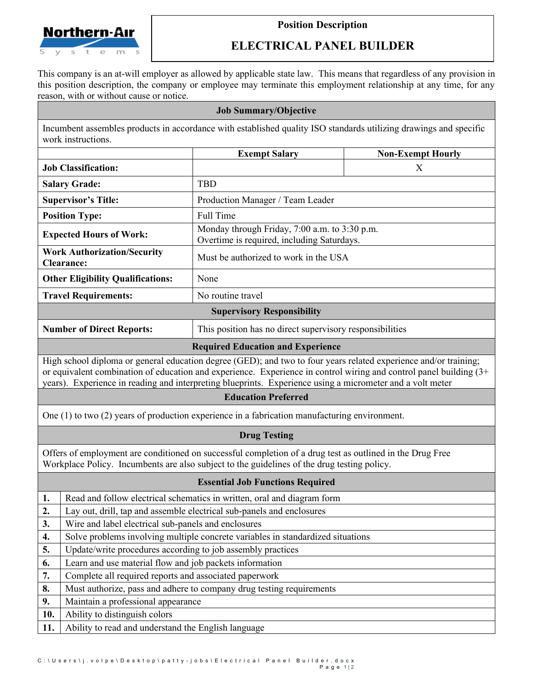

## **Position Description**

## **ELECTRICAL PANEL BUILDER**

This company is an at-will employer as allowed by applicable state law. This means that regardless of any provision in this position description, the company or employee may terminate this employment relationship at any time, for any reason, with or without cause or notice.

## **Job Summary/Objective**

Incumbent assembles products in accordance with established quality ISO standards utilizing drawings and specific work instructions.

|                                                                                                                                                                                                                                                                                                                                                     |                                                                                 | <b>Exempt Salary</b>                                                                        | <b>Non-Exempt Hourly</b> |  |  |
|-----------------------------------------------------------------------------------------------------------------------------------------------------------------------------------------------------------------------------------------------------------------------------------------------------------------------------------------------------|---------------------------------------------------------------------------------|---------------------------------------------------------------------------------------------|--------------------------|--|--|
|                                                                                                                                                                                                                                                                                                                                                     | <b>Job Classification:</b>                                                      |                                                                                             | X                        |  |  |
| <b>Salary Grade:</b>                                                                                                                                                                                                                                                                                                                                |                                                                                 | <b>TBD</b>                                                                                  |                          |  |  |
| <b>Supervisor's Title:</b>                                                                                                                                                                                                                                                                                                                          |                                                                                 | Production Manager / Team Leader                                                            |                          |  |  |
|                                                                                                                                                                                                                                                                                                                                                     | <b>Position Type:</b>                                                           | Full Time                                                                                   |                          |  |  |
| <b>Expected Hours of Work:</b>                                                                                                                                                                                                                                                                                                                      |                                                                                 | Monday through Friday, 7:00 a.m. to 3:30 p.m.<br>Overtime is required, including Saturdays. |                          |  |  |
| <b>Work Authorization/Security</b><br><b>Clearance:</b>                                                                                                                                                                                                                                                                                             |                                                                                 | Must be authorized to work in the USA                                                       |                          |  |  |
| <b>Other Eligibility Qualifications:</b>                                                                                                                                                                                                                                                                                                            |                                                                                 | None                                                                                        |                          |  |  |
| <b>Travel Requirements:</b>                                                                                                                                                                                                                                                                                                                         |                                                                                 | No routine travel                                                                           |                          |  |  |
| <b>Supervisory Responsibility</b>                                                                                                                                                                                                                                                                                                                   |                                                                                 |                                                                                             |                          |  |  |
| <b>Number of Direct Reports:</b>                                                                                                                                                                                                                                                                                                                    |                                                                                 | This position has no direct supervisory responsibilities                                    |                          |  |  |
| <b>Required Education and Experience</b>                                                                                                                                                                                                                                                                                                            |                                                                                 |                                                                                             |                          |  |  |
| High school diploma or general education degree (GED); and two to four years related experience and/or training;<br>or equivalent combination of education and experience. Experience in control wiring and control panel building (3+<br>years). Experience in reading and interpreting blueprints. Experience using a micrometer and a volt meter |                                                                                 |                                                                                             |                          |  |  |
| <b>Education Preferred</b>                                                                                                                                                                                                                                                                                                                          |                                                                                 |                                                                                             |                          |  |  |
| One $(1)$ to two $(2)$ years of production experience in a fabrication manufacturing environment.                                                                                                                                                                                                                                                   |                                                                                 |                                                                                             |                          |  |  |
| <b>Drug Testing</b>                                                                                                                                                                                                                                                                                                                                 |                                                                                 |                                                                                             |                          |  |  |
| Offers of employment are conditioned on successful completion of a drug test as outlined in the Drug Free<br>Workplace Policy. Incumbents are also subject to the guidelines of the drug testing policy.                                                                                                                                            |                                                                                 |                                                                                             |                          |  |  |
| <b>Essential Job Functions Required</b>                                                                                                                                                                                                                                                                                                             |                                                                                 |                                                                                             |                          |  |  |
| 1.                                                                                                                                                                                                                                                                                                                                                  | Read and follow electrical schematics in written, oral and diagram form         |                                                                                             |                          |  |  |
| 2.                                                                                                                                                                                                                                                                                                                                                  | Lay out, drill, tap and assemble electrical sub-panels and enclosures           |                                                                                             |                          |  |  |
| 3.                                                                                                                                                                                                                                                                                                                                                  | Wire and label electrical sub-panels and enclosures                             |                                                                                             |                          |  |  |
| $\boldsymbol{4}$                                                                                                                                                                                                                                                                                                                                    | Solve problems involving multiple concrete variables in standardized situations |                                                                                             |                          |  |  |
| 5.                                                                                                                                                                                                                                                                                                                                                  | Update/write procedures according to job assembly practices                     |                                                                                             |                          |  |  |
| 6.                                                                                                                                                                                                                                                                                                                                                  | Learn and use material flow and job packets information                         |                                                                                             |                          |  |  |
| 7.                                                                                                                                                                                                                                                                                                                                                  | Complete all required reports and associated paperwork                          |                                                                                             |                          |  |  |
| 8.<br>9.                                                                                                                                                                                                                                                                                                                                            | Must authorize, pass and adhere to company drug testing requirements            |                                                                                             |                          |  |  |
| 10.                                                                                                                                                                                                                                                                                                                                                 | Maintain a professional appearance<br>Ability to distinguish colors             |                                                                                             |                          |  |  |
| 11.                                                                                                                                                                                                                                                                                                                                                 | Ability to read and understand the English language                             |                                                                                             |                          |  |  |
|                                                                                                                                                                                                                                                                                                                                                     |                                                                                 |                                                                                             |                          |  |  |